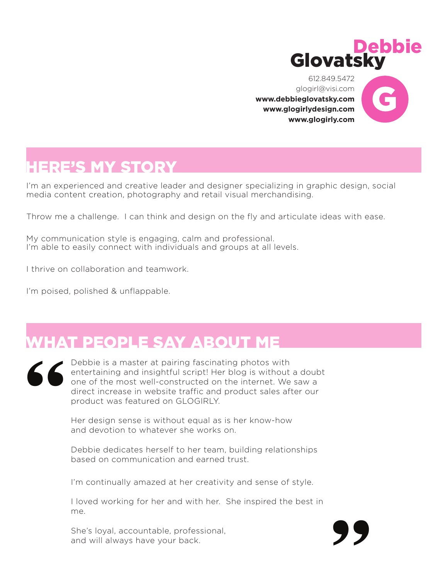

**"**

612.849.5472 glogirl@visi.com **[www.debbieglovatsky.com](https://debbieglovatsky.com/) [www.glogirlydesign.com](https://glogirlydesign.com) [www.glogirly.com](http://www.glogirly.com)**



## **IERE'S MY STORY**

I'm an experienced and creative leader and designer specializing in graphic design, social media content creation, photography and retail visual merchandising.

Throw me a challenge. I can think and design on the fly and articulate ideas with ease.

My communication style is engaging, calm and professional. I'm able to easily connect with individuals and groups at all levels.

I thrive on collaboration and teamwork.

I'm poised, polished & unflappable.

# WHAT PEOPLE SAY ABOUT ME



Debbie is a master at pairing fascinating photos with entertaining and insightful script! Her blog is without a doubt one of the most well-constructed on the internet. We saw a direct increase in website traffic and product sales after our product was featured on GLOGIRLY.

Her design sense is without equal as is her know-how and devotion to whatever she works on.

Debbie dedicates herself to her team, building relationships based on communication and earned trust.

I'm continually amazed at her creativity and sense of style.

I loved working for her and with her. She inspired the best in me.

She's loyal, accountable, professional, and will always have your back.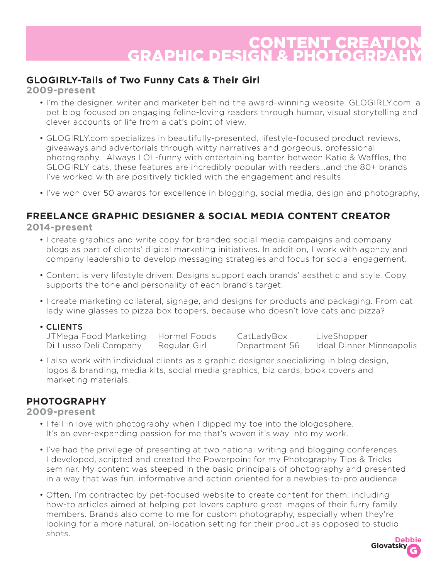### CONTENT CREAT **GRAPHIC DESI**

#### **GLOGIRLY-Tails of Two Funny Cats & Their Girl**

**2009-present**

- I'm the designer, writer and marketer behind the award-winning website, GLOGIRLY.com, a pet blog focused on engaging feline-loving readers through humor, visual storytelling and clever accounts of life from a cat's point of view.
- GLOGIRLY.com specializes in beautifully-presented, lifestyle-focused product reviews, giveaways and advertorials through witty narratives and gorgeous, professional photography. Always LOL-funny with entertaining banter between Katie & Waffles, the GLOGIRLY cats, these features are incredibly popular with readers…and the 80+ brands I've worked with are positively tickled with the engagement and results.
- I've won over 50 awards for excellence in blogging, social media, design and photography,

#### **FREELANCE GRAPHIC DESIGNER & SOCIAL MEDIA CONTENT CREATOR**

**2014-present**

- I create graphics and write copy for branded social media campaigns and company blogs as part of clients' digital marketing initiatives. In addition, I work with agency and company leadership to develop messaging strategies and focus for social engagement.
- Content is very lifestyle driven. Designs support each brands' aesthetic and style. Copy supports the tone and personality of each brand's target.
- I create marketing collateral, signage, and designs for products and packaging. From cat lady wine glasses to pizza box toppers, because who doesn't love cats and pizza?

#### • CLIENTS

| JTMega Food Marketing Hormel Foods |              | CatLadyBox    | LiveShopper              |
|------------------------------------|--------------|---------------|--------------------------|
| Di Lusso Deli Company              | Regular Girl | Department 56 | Ideal Dinner Minneapolis |

• I also work with individual clients as a graphic designer specializing in blog design, logos & branding, media kits, social media graphics, biz cards, book covers and marketing materials.

#### **PHOTOGRAPHY**

#### **2009-present**

- I fell in love with photography when I dipped my toe into the blogosphere. It's an ever-expanding passion for me that's woven it's way into my work.
- I've had the privilege of presenting at two national writing and blogging conferences. I developed, scripted and created the Powerpoint for my Photography Tips & Tricks seminar. My content was steeped in the basic principals of photography and presented in a way that was fun, informative and action oriented for a newbies-to-pro audience.
- Often, I'm contracted by pet-focused website to create content for them, including how-to articles aimed at helping pet lovers capture great images of their furry family members. Brands also come to me for custom photography, especially when they're looking for a more natural, on-location setting for their product as opposed to studio shots. **Debbie**

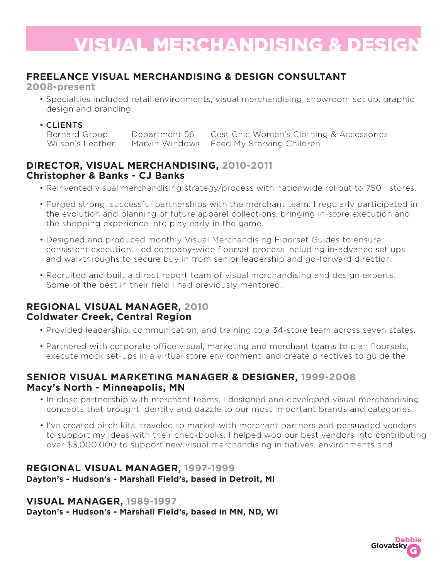# **VISUAL MERCHANDISING & DESI**

#### **FREELANCE VISUAL MERCHANDISING & DESIGN CONSULTANT**

**2008-present**

- Specialties included retail environments, visual merchandising, showroom set up, graphic design and branding.
- 

• **CLIENTS**<br>Bernard Group Department 56 Cest Chic Women's Clothing & Accessories Wilson's Leather Marvin Windows Feed My Starving Children

#### **DIRECTOR, VISUAL MERCHANDISING, 2010-2011 Christopher & Banks - CJ Banks**

- Reinvented visual merchandising strategy/process with nationwide rollout to 750+ stores.
- Forged strong, successful partnerships with the merchant team. I regularly participated in the evolution and planning of future apparel collections, bringing in-store execution and the shopping experience into play early in the game.
- Designed and produced monthly Visual Merchandising Floorset Guides to ensure consistent execution. Led company-wide floorset process including in-advance set ups and walkthroughs to secure buy in from senior leadership and go-forward direction.
- Recruited and built a direct report team of visual merchandising and design experts. Some of the best in their field I had previously mentored.

#### **REGIONAL VISUAL MANAGER, 2010 Coldwater Creek, Central Region**

- Provided leadership, communication, and training to a 34-store team across seven states.
- Partnered with corporate office visual, marketing and merchant teams to plan floorsets, execute mock set-ups in a virtual store environment, and create directives to guide the

#### **SENIOR VISUAL MARKETING MANAGER & DESIGNER, 1999-2008 Macy's North - Minneapolis, MN**

- In close partnership with merchant teams, I designed and developed visual merchandising concepts that brought identity and dazzle to our most important brands and categories.
- I've created pitch kits, traveled to market with merchant partners and persuaded vendors to support my ideas with their checkbooks. I helped woo our best vendors into contributing over \$3,000,000 to support new visual merchandising initiatives, environments and

#### **REGIONAL VISUAL MANAGER, 1997-1999 Dayton's - Hudson's - Marshall Field's, based in Detroit, MI**

#### **VISUAL MANAGER, 1989-1997**

**Dayton's - Hudson's - Marshall Field's, based in MN, ND, WI**